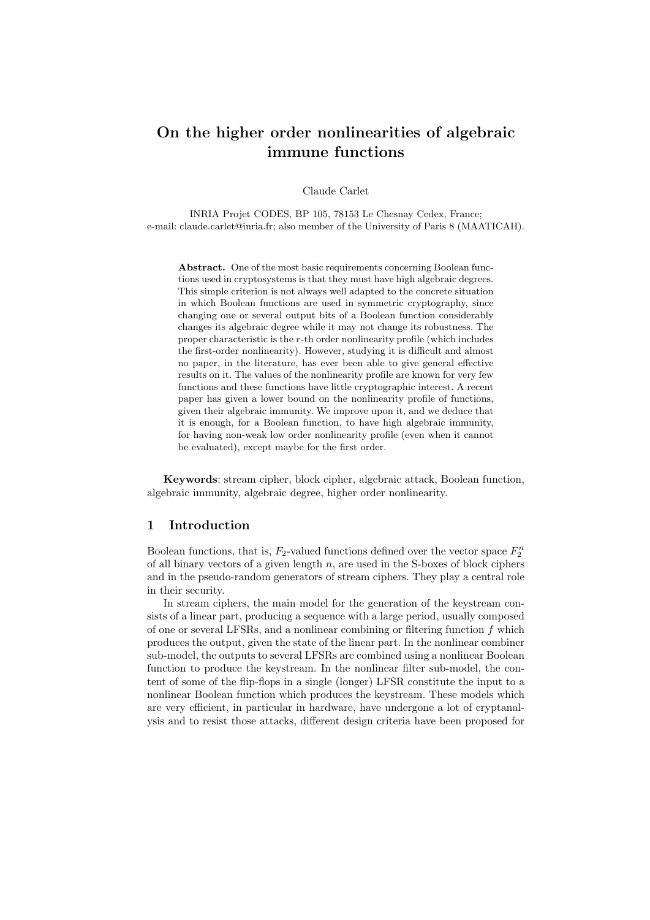# On the higher order nonlinearities of algebraic immune functions

Claude Carlet

INRIA Projet CODES, BP 105, 78153 Le Chesnay Cedex, France; e-mail: claude.carlet@inria.fr; also member of the University of Paris 8 (MAATICAH).

Abstract. One of the most basic requirements concerning Boolean functions used in cryptosystems is that they must have high algebraic degrees. This simple criterion is not always well adapted to the concrete situation in which Boolean functions are used in symmetric cryptography, since changing one or several output bits of a Boolean function considerably changes its algebraic degree while it may not change its robustness. The proper characteristic is the r-th order nonlinearity profile (which includes the first-order nonlinearity). However, studying it is difficult and almost no paper, in the literature, has ever been able to give general effective results on it. The values of the nonlinearity profile are known for very few functions and these functions have little cryptographic interest. A recent paper has given a lower bound on the nonlinearity profile of functions, given their algebraic immunity. We improve upon it, and we deduce that it is enough, for a Boolean function, to have high algebraic immunity, for having non-weak low order nonlinearity profile (even when it cannot be evaluated), except maybe for the first order.

Keywords: stream cipher, block cipher, algebraic attack, Boolean function, algebraic immunity, algebraic degree, higher order nonlinearity.

## 1 Introduction

Boolean functions, that is,  $F_2$ -valued functions defined over the vector space  $F_2^n$ of all binary vectors of a given length  $n$ , are used in the S-boxes of block ciphers and in the pseudo-random generators of stream ciphers. They play a central role in their security.

In stream ciphers, the main model for the generation of the keystream consists of a linear part, producing a sequence with a large period, usually composed of one or several LFSRs, and a nonlinear combining or filtering function f which produces the output, given the state of the linear part. In the nonlinear combiner sub-model, the outputs to several LFSRs are combined using a nonlinear Boolean function to produce the keystream. In the nonlinear filter sub-model, the content of some of the flip-flops in a single (longer) LFSR constitute the input to a nonlinear Boolean function which produces the keystream. These models which are very efficient, in particular in hardware, have undergone a lot of cryptanalysis and to resist those attacks, different design criteria have been proposed for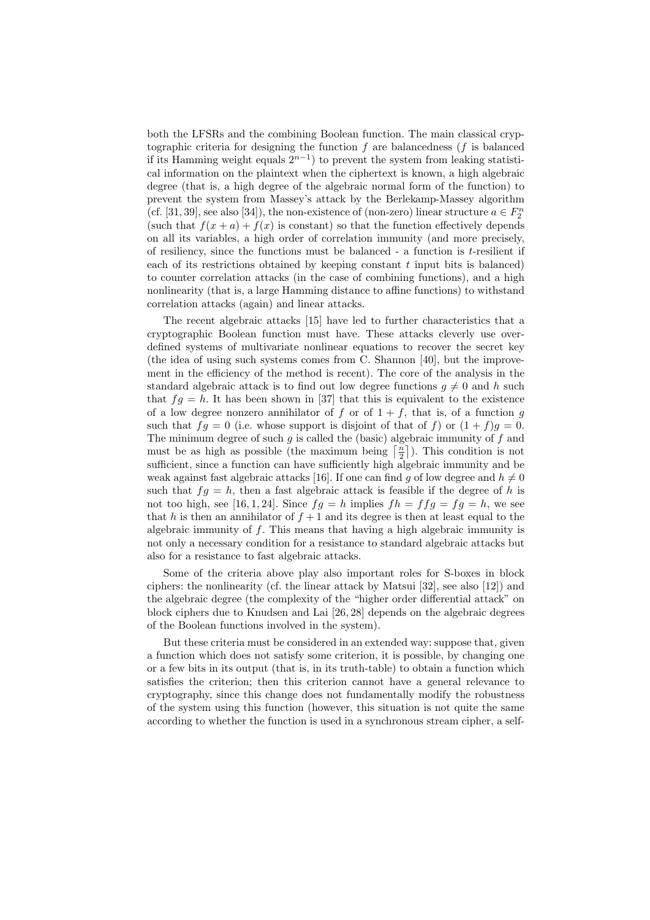both the LFSRs and the combining Boolean function. The main classical cryptographic criteria for designing the function  $f$  are balancedness ( $f$  is balanced if its Hamming weight equals  $2^{n-1}$ ) to prevent the system from leaking statistical information on the plaintext when the ciphertext is known, a high algebraic degree (that is, a high degree of the algebraic normal form of the function) to prevent the system from Massey's attack by the Berlekamp-Massey algorithm (cf. [31, 39], see also [34]), the non-existence of (non-zero) linear structure  $a \in F_2^n$ (such that  $f(x + a) + f(x)$  is constant) so that the function effectively depends on all its variables, a high order of correlation immunity (and more precisely, of resiliency, since the functions must be balanced - a function is  $t$ -resilient if each of its restrictions obtained by keeping constant  $t$  input bits is balanced) to counter correlation attacks (in the case of combining functions), and a high nonlinearity (that is, a large Hamming distance to affine functions) to withstand correlation attacks (again) and linear attacks.

The recent algebraic attacks [15] have led to further characteristics that a cryptographic Boolean function must have. These attacks cleverly use overdefined systems of multivariate nonlinear equations to recover the secret key (the idea of using such systems comes from C. Shannon [40], but the improvement in the efficiency of the method is recent). The core of the analysis in the standard algebraic attack is to find out low degree functions  $g \neq 0$  and h such that  $fg = h$ . It has been shown in [37] that this is equivalent to the existence of a low degree nonzero annihilator of f or of  $1 + f$ , that is, of a function g such that  $fq = 0$  (i.e. whose support is disjoint of that of f) or  $(1 + f)q = 0$ . The minimum degree of such q is called the (basic) algebraic immunity of f and must be as high as possible (the maximum being  $\lceil \frac{n}{2} \rceil$ ). This condition is not sufficient, since a function can have sufficiently high algebraic immunity and be weak against fast algebraic attacks [16]. If one can find q of low degree and  $h \neq 0$ such that  $fg = h$ , then a fast algebraic attack is feasible if the degree of h is not too high, see [16, 1, 24]. Since  $fg = h$  implies  $fh = ffg = fg = h$ , we see that h is then an annihilator of  $f + 1$  and its degree is then at least equal to the algebraic immunity of  $f$ . This means that having a high algebraic immunity is not only a necessary condition for a resistance to standard algebraic attacks but also for a resistance to fast algebraic attacks.

Some of the criteria above play also important roles for S-boxes in block ciphers: the nonlinearity (cf. the linear attack by Matsui [32], see also [12]) and the algebraic degree (the complexity of the "higher order differential attack" on block ciphers due to Knudsen and Lai [26, 28] depends on the algebraic degrees of the Boolean functions involved in the system).

But these criteria must be considered in an extended way: suppose that, given a function which does not satisfy some criterion, it is possible, by changing one or a few bits in its output (that is, in its truth-table) to obtain a function which satisfies the criterion; then this criterion cannot have a general relevance to cryptography, since this change does not fundamentally modify the robustness of the system using this function (however, this situation is not quite the same according to whether the function is used in a synchronous stream cipher, a self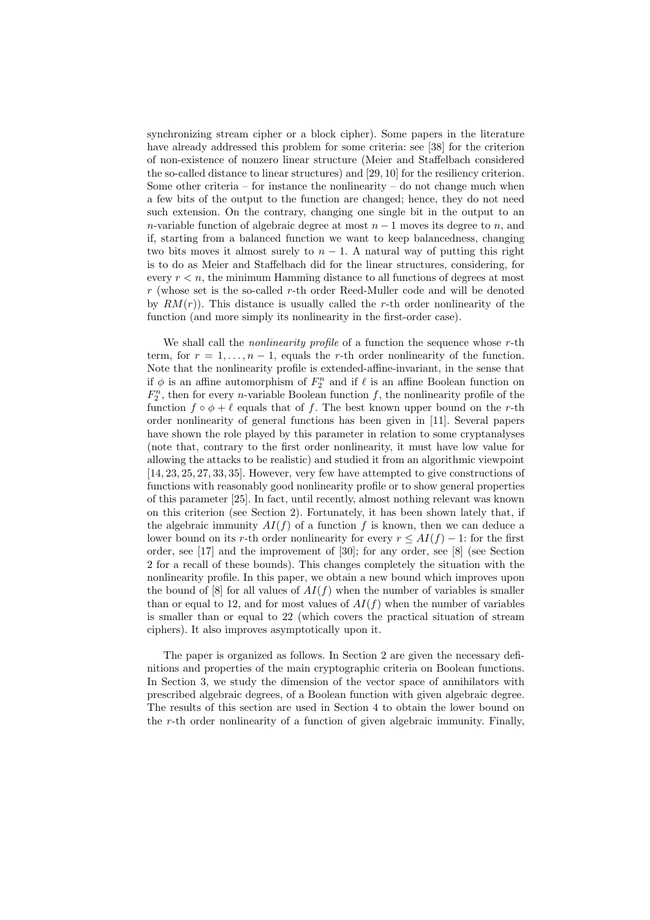synchronizing stream cipher or a block cipher). Some papers in the literature have already addressed this problem for some criteria: see [38] for the criterion of non-existence of nonzero linear structure (Meier and Staffelbach considered the so-called distance to linear structures) and [29, 10] for the resiliency criterion. Some other criteria – for instance the nonlinearity – do not change much when a few bits of the output to the function are changed; hence, they do not need such extension. On the contrary, changing one single bit in the output to an n-variable function of algebraic degree at most  $n-1$  moves its degree to n, and if, starting from a balanced function we want to keep balancedness, changing two bits moves it almost surely to  $n-1$ . A natural way of putting this right is to do as Meier and Staffelbach did for the linear structures, considering, for every  $r < n$ , the minimum Hamming distance to all functions of degrees at most r (whose set is the so-called r-th order Reed-Muller code and will be denoted by  $RM(r)$ ). This distance is usually called the r-th order nonlinearity of the function (and more simply its nonlinearity in the first-order case).

We shall call the *nonlinearity profile* of a function the sequence whose  $r$ -th term, for  $r = 1, \ldots, n-1$ , equals the r-th order nonlinearity of the function. Note that the nonlinearity profile is extended-affine-invariant, in the sense that if  $\phi$  is an affine automorphism of  $F_2^n$  and if  $\ell$  is an affine Boolean function on  $F_2^n$ , then for every *n*-variable Boolean function  $f$ , the nonlinearity profile of the function  $f \circ \phi + \ell$  equals that of f. The best known upper bound on the r-th order nonlinearity of general functions has been given in [11]. Several papers have shown the role played by this parameter in relation to some cryptanalyses (note that, contrary to the first order nonlinearity, it must have low value for allowing the attacks to be realistic) and studied it from an algorithmic viewpoint [14, 23, 25, 27, 33, 35]. However, very few have attempted to give constructions of functions with reasonably good nonlinearity profile or to show general properties of this parameter [25]. In fact, until recently, almost nothing relevant was known on this criterion (see Section 2). Fortunately, it has been shown lately that, if the algebraic immunity  $AI(f)$  of a function f is known, then we can deduce a lower bound on its r-th order nonlinearity for every  $r \leq AI(f) - 1$ : for the first order, see [17] and the improvement of [30]; for any order, see [8] (see Section 2 for a recall of these bounds). This changes completely the situation with the nonlinearity profile. In this paper, we obtain a new bound which improves upon the bound of  $[8]$  for all values of  $AI(f)$  when the number of variables is smaller than or equal to 12, and for most values of  $AI(f)$  when the number of variables is smaller than or equal to 22 (which covers the practical situation of stream ciphers). It also improves asymptotically upon it.

The paper is organized as follows. In Section 2 are given the necessary definitions and properties of the main cryptographic criteria on Boolean functions. In Section 3, we study the dimension of the vector space of annihilators with prescribed algebraic degrees, of a Boolean function with given algebraic degree. The results of this section are used in Section 4 to obtain the lower bound on the r-th order nonlinearity of a function of given algebraic immunity. Finally,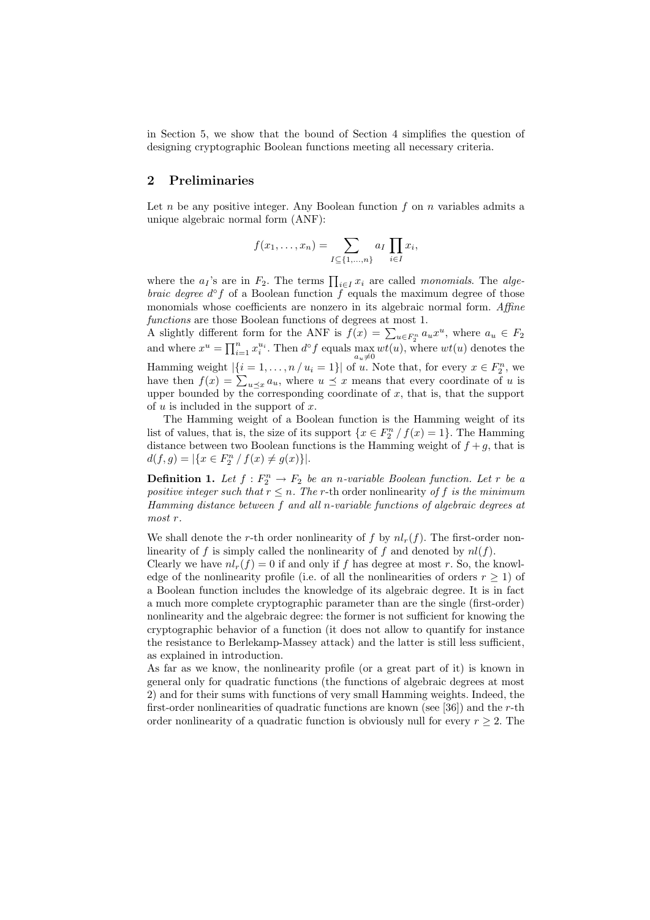in Section 5, we show that the bound of Section 4 simplifies the question of designing cryptographic Boolean functions meeting all necessary criteria.

## 2 Preliminaries

Let  $n$  be any positive integer. Any Boolean function  $f$  on  $n$  variables admits a unique algebraic normal form (ANF):

$$
f(x_1,\ldots,x_n)=\sum_{I\subseteq\{1,\ldots,n\}}a_I\prod_{i\in I}x_i,
$$

where the  $a_I$ 's are in  $F_2$ . The terms  $\prod_{i \in I} x_i$  are called monomials. The algebraic degree  $d^{\circ}f$  of a Boolean function f equals the maximum degree of those monomials whose coefficients are nonzero in its algebraic normal form. Affine functions are those Boolean functions of degrees at most 1.

A slightly different form for the ANF is  $f(x) = \sum_{u \in F_2^n} a_u x^u$ , where  $a_u \in F_2$ and where  $x^u = \prod_{i=1}^n x_i^{u_i}$ . Then  $d^{\circ} f$  equals  $\max_{a_u \neq 0} wt(u)$ , where  $wt(u)$  denotes the Hamming weight  $|\{i=1,\ldots,n \mid u_i=1\}|$  of u. Note that, for every  $x \in F_2^n$ , we have then  $f(x) = \sum_{u \preceq x} a_u$ , where  $u \preceq x$  means that every coordinate of u is upper bounded by the corresponding coordinate of  $x$ , that is, that the support of  $u$  is included in the support of  $x$ .

The Hamming weight of a Boolean function is the Hamming weight of its list of values, that is, the size of its support  $\{x \in F_2^n / f(x) = 1\}$ . The Hamming distance between two Boolean functions is the Hamming weight of  $f + g$ , that is  $d(f,g) = |\{x \in F_2^n \mid f(x) \neq g(x)\}|.$ 

**Definition 1.** Let  $f: F_2^n \to F_2$  be an n-variable Boolean function. Let r be a positive integer such that  $r \leq n$ . The r-th order nonlinearity of f is the minimum Hamming distance between f and all n-variable functions of algebraic degrees at most r.

We shall denote the r-th order nonlinearity of f by  $nl_r(f)$ . The first-order nonlinearity of f is simply called the nonlinearity of f and denoted by  $nl(f)$ .

Clearly we have  $nl_r(f) = 0$  if and only if f has degree at most r. So, the knowledge of the nonlinearity profile (i.e. of all the nonlinearities of orders  $r \geq 1$ ) of a Boolean function includes the knowledge of its algebraic degree. It is in fact a much more complete cryptographic parameter than are the single (first-order) nonlinearity and the algebraic degree: the former is not sufficient for knowing the cryptographic behavior of a function (it does not allow to quantify for instance the resistance to Berlekamp-Massey attack) and the latter is still less sufficient, as explained in introduction.

As far as we know, the nonlinearity profile (or a great part of it) is known in general only for quadratic functions (the functions of algebraic degrees at most 2) and for their sums with functions of very small Hamming weights. Indeed, the first-order nonlinearities of quadratic functions are known (see [36]) and the r-th order nonlinearity of a quadratic function is obviously null for every  $r > 2$ . The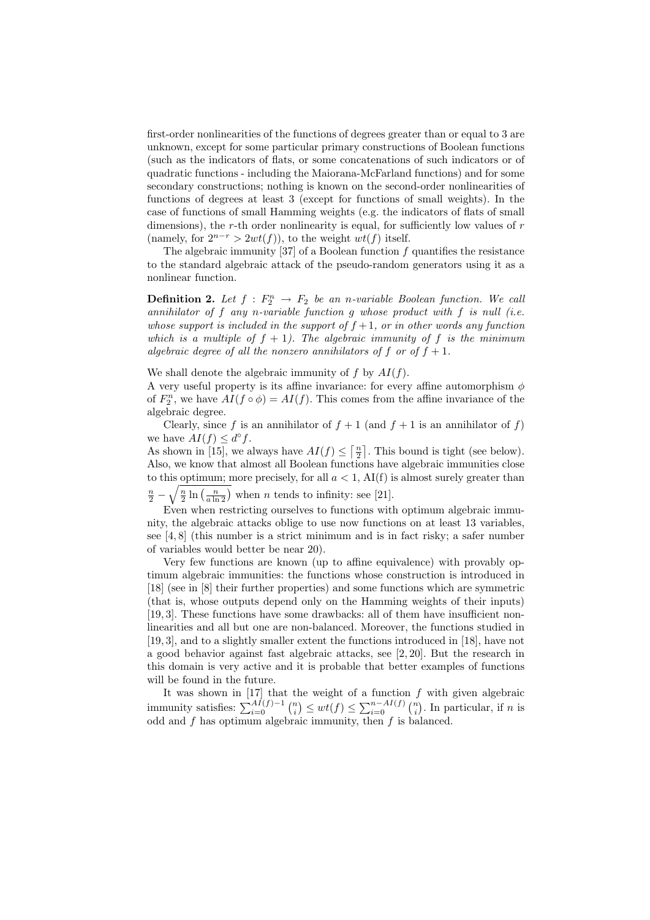first-order nonlinearities of the functions of degrees greater than or equal to 3 are unknown, except for some particular primary constructions of Boolean functions (such as the indicators of flats, or some concatenations of such indicators or of quadratic functions - including the Maiorana-McFarland functions) and for some secondary constructions; nothing is known on the second-order nonlinearities of functions of degrees at least 3 (except for functions of small weights). In the case of functions of small Hamming weights (e.g. the indicators of flats of small dimensions), the r-th order nonlinearity is equal, for sufficiently low values of  $r$ (namely, for  $2^{n-r} > 2wt(f)$ ), to the weight  $wt(f)$  itself.

The algebraic immunity  $[37]$  of a Boolean function f quantifies the resistance to the standard algebraic attack of the pseudo-random generators using it as a nonlinear function.

**Definition 2.** Let  $f: F_2^n \to F_2$  be an n-variable Boolean function. We call annihilator of  $f$  any n-variable function  $g$  whose product with  $f$  is null (i.e. whose support is included in the support of  $f+1$ , or in other words any function which is a multiple of  $f + 1$ ). The algebraic immunity of f is the minimum algebraic degree of all the nonzero annihilators of f or of  $f + 1$ .

We shall denote the algebraic immunity of f by  $AI(f)$ .

A very useful property is its affine invariance: for every affine automorphism  $\phi$ of  $F_2^n$ , we have  $AI(f \circ \phi) = AI(f)$ . This comes from the affine invariance of the algebraic degree.

Clearly, since f is an annihilator of  $f + 1$  (and  $f + 1$  is an annihilator of f) we have  $AI(f) \leq d^{\circ}f$ .

As shown in [15], we always have  $AI(f) \leq \lceil \frac{n}{2} \rceil$ . This bound is tight (see below). Also, we know that almost all Boolean functions have algebraic immunities close to this optimum; more precisely, for all  $a < 1$ ,  $AI(f)$  is almost surely greater than

 $\frac{n}{2} - \sqrt{\frac{n}{2} \ln\left(\frac{n}{a \ln 2}\right)}$  when *n* tends to infinity: see [21].

Even when restricting ourselves to functions with optimum algebraic immunity, the algebraic attacks oblige to use now functions on at least 13 variables, see [4, 8] (this number is a strict minimum and is in fact risky; a safer number of variables would better be near 20).

Very few functions are known (up to affine equivalence) with provably optimum algebraic immunities: the functions whose construction is introduced in [18] (see in [8] their further properties) and some functions which are symmetric (that is, whose outputs depend only on the Hamming weights of their inputs) [19, 3]. These functions have some drawbacks: all of them have insufficient nonlinearities and all but one are non-balanced. Moreover, the functions studied in [19, 3], and to a slightly smaller extent the functions introduced in [18], have not a good behavior against fast algebraic attacks, see [2, 20]. But the research in this domain is very active and it is probable that better examples of functions will be found in the future.

It was shown in  $[17]$  that the weight of a function  $f$  with given algebraic immunity satisfies:  $\sum_{i=0}^{AI(f)-1} {n \choose i} \le wt(f) \le \sum_{i=0}^{n-AI(f)} {n \choose i}$ . In particular, if *n* is odd and  $f$  has optimum algebraic immunity, then  $f$  is balanced.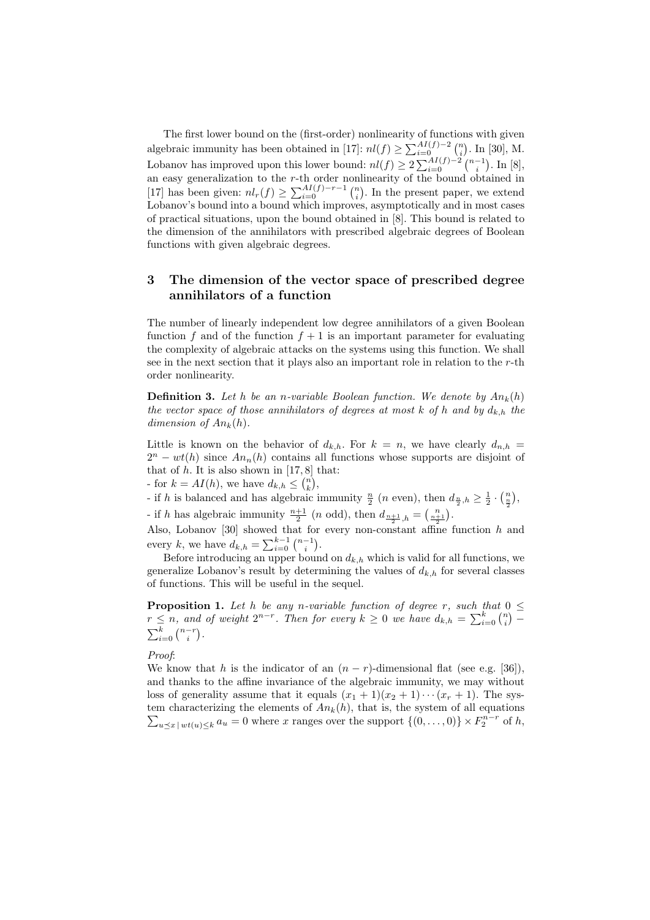The first lower bound on the (first-order) nonlinearity of functions with given algebraic immunity has been obtained in [17]:  $nl(f) \geq \sum_{i=0}^{AI(f)-2} {n \choose i}$ . In [30], M. Lobanov has improved upon this lower bound:  $nl(f) \geq 2 \sum_{i=0}^{AI(f)-2} \binom{n-1}{i}$ . In [8], an easy generalization to the r-th order nonlinearity of the bound obtained in [17] has been given:  $nl_r(f) \geq \sum_{i=0}^{AI(f)-r-1} {n \choose i}$ . In the present paper, we extend Lobanov's bound into a bound which improves, asymptotically and in most cases of practical situations, upon the bound obtained in [8]. This bound is related to the dimension of the annihilators with prescribed algebraic degrees of Boolean functions with given algebraic degrees.

## 3 The dimension of the vector space of prescribed degree annihilators of a function

The number of linearly independent low degree annihilators of a given Boolean function f and of the function  $f + 1$  is an important parameter for evaluating the complexity of algebraic attacks on the systems using this function. We shall see in the next section that it plays also an important role in relation to the  $r$ -th order nonlinearity.

**Definition 3.** Let h be an n-variable Boolean function. We denote by  $An_k(h)$ the vector space of those annihilators of degrees at most k of h and by  $d_{k,h}$  the dimension of  $An_k(h)$ .

Little is known on the behavior of  $d_{k,h}$ . For  $k = n$ , we have clearly  $d_{n,h} =$  $2^n - wt(h)$  since  $An_n(h)$  contains all functions whose supports are disjoint of that of  $h$ . It is also shown in [17, 8] that:

- for  $k = AI(h)$ , we have  $d_{k,h} \leq {n \choose k}$ ,

- if h is balanced and has algebraic immunity  $\frac{n}{2}$  (n even), then  $d_{\frac{n}{2},h} \geq \frac{1}{2} \cdot {n \choose \frac{n}{2}}$ ,

- if h has algebraic immunity  $\frac{n+1}{2}$  (n odd), then  $d_{\frac{n+1}{2},h} = \left(\frac{n}{2}\right)$ .

Also, Lobanov [30] showed that for every non-constant affine function h and every k, we have  $d_{k,h} = \sum_{i=0}^{k-1} \binom{n-1}{i}$ .

Before introducing an upper bound on  $d_{k,h}$  which is valid for all functions, we generalize Lobanov's result by determining the values of  $d_{k,h}$  for several classes of functions. This will be useful in the sequel.

**Proposition 1.** Let h be any n-variable function of degree r, such that  $0 \leq$  $r \leq n$ , and of weight  $2^{n-r}$ . Then for every  $k \geq 0$  we have  $d_{k,h} = \sum_{i=0}^{k} {n \choose i}$  $\sum_{i=0}^{k} \binom{n-r}{i}.$ 

Proof:

We know that h is the indicator of an  $(n - r)$ -dimensional flat (see e.g. [36]), and thanks to the affine invariance of the algebraic immunity, we may without loss of generality assume that it equals  $(x_1 + 1)(x_2 + 1) \cdots (x_r + 1)$ . The sys- $\sum_{u \preceq x \, | \, wt(u) \leq k} a_u = 0$  where x ranges over the support  $\{(0, \ldots, 0)\} \times F_2^{n-r}$  of h, tem characterizing the elements of  $An_k(h)$ , that is, the system of all equations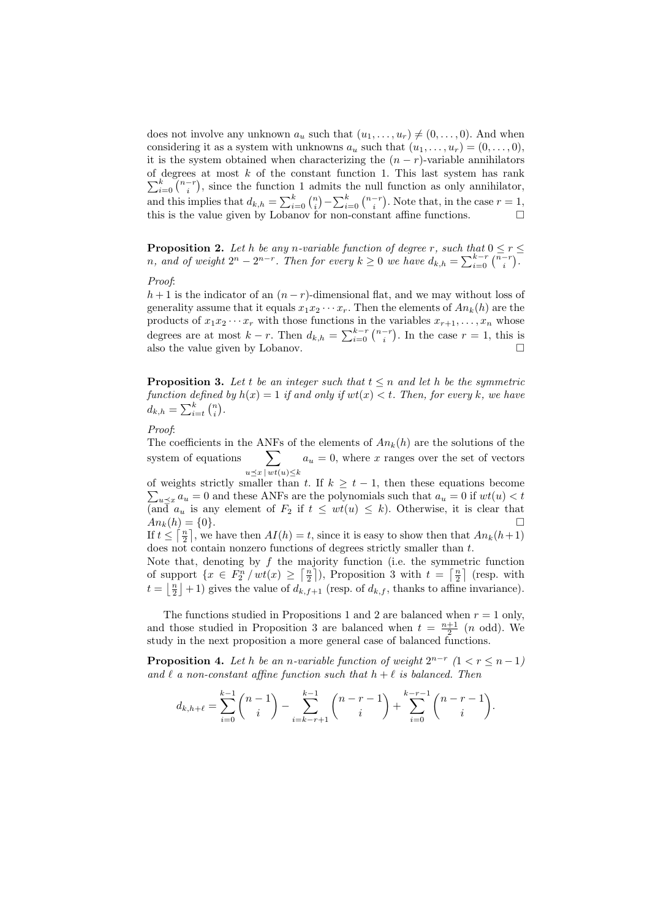does not involve any unknown  $a_u$  such that  $(u_1, \ldots, u_r) \neq (0, \ldots, 0)$ . And when considering it as a system with unknowns  $a_u$  such that  $(u_1, \ldots, u_r) = (0, \ldots, 0)$ , it is the system obtained when characterizing the  $(n - r)$ -variable annihilators of degrees at most k of the constant function 1. This last system has rank  $\sum_{i=0}^{k} {n-r \choose i}$ , since the function 1 admits the null function as only annihilator, and this implies that  $d_{k,h} = \sum_{i=0}^{k} {n \choose i} - \sum_{i=0}^{k} {n-r \choose i}$ . Note that, in the case  $r = 1$ , this is the value given by Lobanov for non-constant affine functions.

**Proposition 2.** Let h be any n-variable function of degree r, such that  $0 \le r \le$ n, and of weight  $2^n - 2^{n-r}$ . Then for every  $k \ge 0$  we have  $d_{k,h} = \sum_{i=0}^{k-r} {n-r \choose i}$ .

Proof:

 $h + 1$  is the indicator of an  $(n - r)$ -dimensional flat, and we may without loss of generality assume that it equals  $x_1x_2 \cdots x_r$ . Then the elements of  $An_k(h)$  are the products of  $x_1x_2 \cdots x_r$  with those functions in the variables  $x_{r+1}, \ldots, x_n$  whose degrees are at most  $k - r$ . Then  $d_{k,h} = \sum_{i=0}^{k-r} {n-r \choose i}$ . In the case  $r = 1$ , this is also the value given by Lobanov.  $\Box$ 

**Proposition 3.** Let t be an integer such that  $t \leq n$  and let h be the symmetric function defined by  $h(x) = 1$  if and only if  $wt(x) < t$ . Then, for every k, we have  $d_{k,h} = \sum_{i=t}^{k} \binom{n}{i}.$ 

Proof:

The coefficients in the ANFs of the elements of  $An_k(h)$  are the solutions of the system of equations  $\sum_{u \preceq x \; | \; wt(u) \leq k} a$  $a_u = 0$ , where x ranges over the set of vectors of weights strictly smaller than t. If  $k \geq t-1$ , then these equations become

 $\sum_{u \preceq x} a_u = 0$  and these ANFs are the polynomials such that  $a_u = 0$  if  $wt(u) < t$ (and  $a_u$  is any element of  $F_2$  if  $t \leq wt(u) \leq k$ ). Otherwise, it is clear that  $An_k(h) = \{0\}.$ 

If  $t \leq \lceil \frac{n}{2} \rceil$ , we have then  $AI(h) = t$ , since it is easy to show then that  $An_k(h+1)$ does not contain nonzero functions of degrees strictly smaller than t.

Note that, denoting by  $f$  the majority function (i.e. the symmetric function of support  $\{x \in F_2^n / wt(x) \geq \lceil \frac{n}{2} \rceil\}$ , Proposition 3 with  $t = \lceil \frac{n}{2} \rceil$  (resp. with  $t = \lfloor \frac{n}{2} \rfloor + 1$ ) gives the value of  $d_{k,f+1}$  (resp. of  $d_{k,f}$ , thanks to affine invariance).

The functions studied in Propositions 1 and 2 are balanced when  $r = 1$  only, and those studied in Proposition 3 are balanced when  $t = \frac{n+1}{2}$  (*n* odd). We study in the next proposition a more general case of balanced functions.

**Proposition 4.** Let h be an n-variable function of weight  $2^{n-r}$   $(1 < r \leq n-1)$ and  $\ell$  a non-constant affine function such that  $h + \ell$  is balanced. Then

$$
d_{k,h+\ell} = \sum_{i=0}^{k-1} \binom{n-1}{i} - \sum_{i=k-r+1}^{k-1} \binom{n-r-1}{i} + \sum_{i=0}^{k-r-1} \binom{n-r-1}{i}.
$$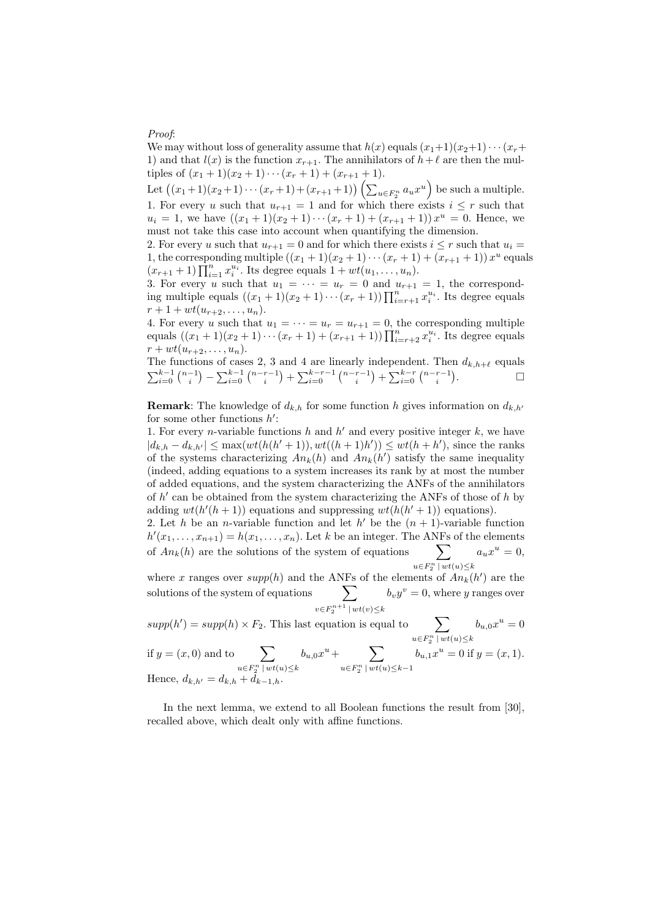#### Proof:

We may without loss of generality assume that  $h(x)$  equals  $(x_1+1)(x_2+1)\cdots(x_r+1)$ 1) and that  $l(x)$  is the function  $x_{r+1}$ . The annihilators of  $h+\ell$  are then the multiples of  $(x_1 + 1)(x_2 + 1) \cdots (x_r + 1) + (x_{r+1} + 1)$ .

Let  $((x_1+1)(x_2+1)\cdots(x_r+1)+(x_{r+1}+1))\left(\sum_{u\in F_2^n} a_ux^u\right)$  be such a multiple. 1. For every u such that  $u_{r+1} = 1$  and for which there exists  $i \leq r$  such that  $u_i = 1$ , we have  $((x_1 + 1)(x_2 + 1) \cdots (x_r + 1) + (x_{r+1} + 1)) x^u = 0$ . Hence, we must not take this case into account when quantifying the dimension.

2. For every u such that  $u_{r+1} = 0$  and for which there exists  $i \leq r$  such that  $u_i =$ 1, the corresponding multiple  $((x_1 + 1)(x_2 + 1) \cdots (x_r + 1) + (x_{r+1} + 1)) x^u$  equals  $(x_{r+1}+1) \prod_{i=1}^{n} x_i^{u_i}$ . Its degree equals  $1 + wt(u_1, ..., u_n)$ .

3. For every u such that  $u_1 = \cdots = u_r = 0$  and  $u_{r+1} = 1$ , the corresponding multiple equals  $((x_1 + 1)(x_2 + 1) \cdots (x_r + 1)) \prod_{i=r+1}^{n} x_i^{u_i}$ . Its degree equals  $r + 1 + wt(u_{r+2}, \ldots, u_n).$ 

4. For every u such that  $u_1 = \cdots = u_r = u_{r+1} = 0$ , the corresponding multiple equals  $((x_1 + 1)(x_2 + 1) \cdots (x_r + 1) + (x_{r+1} + 1)) \prod_{i=r+2}^{n} x_i^{u_i}$ . Its degree equals  $r + wt(u_{r+2}, \ldots, u_n).$ 

The functions of cases 2, 3 and 4 are linearly independent. Then  $d_{k,h+\ell}$  equals  $\sum_{i=0}^{k-1} \binom{n-1}{i} - \sum_{i=0}^{k-1} \binom{n-r-1}{i} + \sum_{i=0}^{k-r-1} \binom{n-r-1}{i} + \sum_{i=0}^{k-r} \binom{n-r-1}{i}.$ 

**Remark:** The knowledge of  $d_{k,h}$  for some function h gives information on  $d_{k,h}$ for some other functions  $h'$ :

1. For every *n*-variable functions  $h$  and  $h'$  and every positive integer  $k$ , we have  $|d_{k,h} - d_{k,h'}| \leq \max(wt(h(h'+1)), wt((h+1)h')) \leq wt(h+h'),$  since the ranks of the systems characterizing  $An_k(h)$  and  $An_k(h')$  satisfy the same inequality (indeed, adding equations to a system increases its rank by at most the number of added equations, and the system characterizing the ANFs of the annihilators of  $h'$  can be obtained from the system characterizing the ANFs of those of  $h$  by adding  $wt(h'(h+1))$  equations and suppressing  $wt(h(h'+1))$  equations).

2. Let h be an n-variable function and let  $h'$  be the  $(n + 1)$ -variable function  $h'(x_1,\ldots,x_{n+1})=h(x_1,\ldots,x_n)$ . Let k be an integer. The ANFs of the elements of  $An_k(h)$  are the solutions of the system of equations  $u{\in}F_2^n \mid wt(u){\leq}k$  $a_ux^u = 0,$ 

where x ranges over  $supp(h)$  and the ANFs of the elements of  $An_k(h')$  are the solutions of the system of equations  $v \in F_2^{n+1} \mid wt(v) \leq k$  $b_v y^v = 0$ , where y ranges over

 $supp(h') = supp(h) \times F_2$ . This last equation is equal to  $\sum$  $u{\in}F_2^n \mid wt(u){\leq}k$  $b_{u,0}x^u = 0$ if  $y = (x, 0)$  and to  $\sum$  $u \in F_2^n \mid wt(u) \leq k$  $b_{u,0}x^u$ +  $\sum$  $u{\in}F_2^n \mid wt(u){\leq}k{-}1$  $b_{u,1}x^u = 0$  if  $y = (x, 1)$ . Hence,  $d_{k,h'} = d_{k,h} + d_{k-1,h}$ 

In the next lemma, we extend to all Boolean functions the result from [30]. recalled above, which dealt only with affine functions.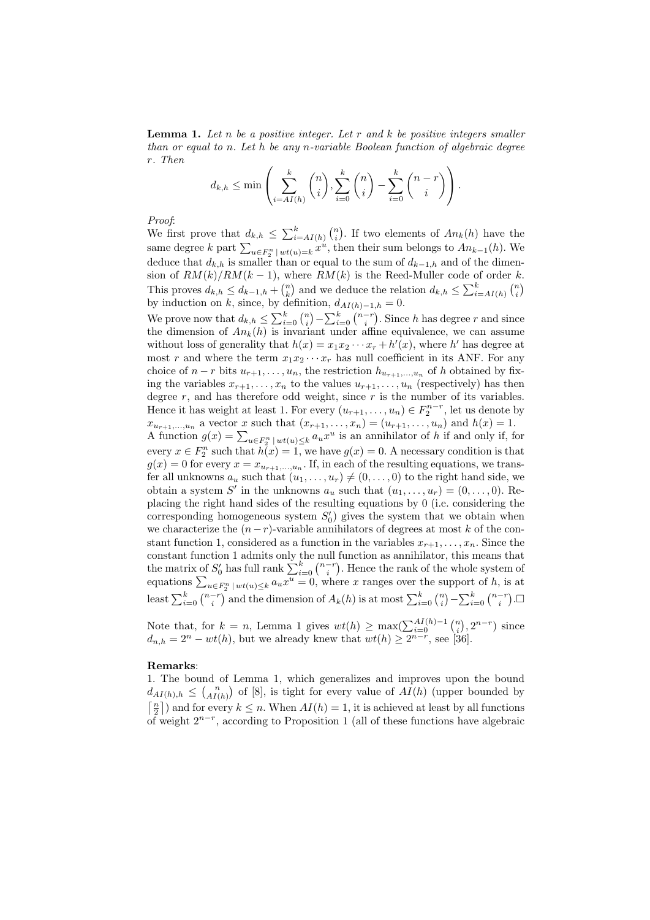**Lemma 1.** Let n be a positive integer. Let r and k be positive integers smaller than or equal to n. Let h be any n-variable Boolean function of algebraic degree r. Then

$$
d_{k,h} \le \min\left(\sum_{i=AI(h)}^k \binom{n}{i}, \sum_{i=0}^k \binom{n}{i} - \sum_{i=0}^k \binom{n-r}{i}\right).
$$

Proof:

We first prove that  $d_{k,h} \leq \sum_{i=A I(h)}^k {n \choose i}$ . If two elements of  $An_k(h)$  have the same degree k part  $\sum_{u \in F_2^n} |w(u)=k} x^u$ , then their sum belongs to  $An_{k-1}(h)$ . We deduce that  $d_{k,h}$  is smaller than or equal to the sum of  $d_{k-1,h}$  and of the dimension of  $RM(k)/RM(k-1)$ , where  $RM(k)$  is the Reed-Muller code of order k. This proves  $d_{k,h} \leq d_{k-1,h} + \binom{n}{k}$  and we deduce the relation  $d_{k,h} \leq \sum_{i=A I(h)}^{k} \binom{n}{i}$ by induction on k, since, by definition,  $d_{AI(h)-1,h} = 0$ .

We prove now that  $d_{k,h} \leq \sum_{i=0}^{k} {n \choose i} - \sum_{i=0}^{k} {n-r \choose i}$ . Since h has degree r and since the dimension of  $An_k(h)$  is invariant under affine equivalence, we can assume without loss of generality that  $h(x) = x_1 x_2 \cdots x_r + h'(x)$ , where h' has degree at most r and where the term  $x_1x_2 \cdots x_r$  has null coefficient in its ANF. For any choice of  $n-r$  bits  $u_{r+1}, \ldots, u_n$ , the restriction  $h_{u_{r+1},...,u_n}$  of h obtained by fixing the variables  $x_{r+1}, \ldots, x_n$  to the values  $u_{r+1}, \ldots, u_n$  (respectively) has then degree  $r$ , and has therefore odd weight, since  $r$  is the number of its variables. Hence it has weight at least 1. For every  $(u_{r+1},...,u_n) \in F_2^{n-r}$ , let us denote by  $x_{u_{r+1},...,u_n}$  a vector x such that  $(x_{r+1},...,x_n) = (u_{r+1},...,u_n)$  and  $h(x) = 1$ . A function  $g(x) = \sum_{u \in F_2^n \mid wt(u) \leq k} a_u x^u$  is an annihilator of h if and only if, for

every  $x \in F_2^n$  such that  $h(x) = 1$ , we have  $g(x) = 0$ . A necessary condition is that  $g(x) = 0$  for every  $x = x_{u_{r+1},...,u_n}$ . If, in each of the resulting equations, we transfer all unknowns  $a_u$  such that  $(u_1, \ldots, u_r) \neq (0, \ldots, 0)$  to the right hand side, we obtain a system S' in the unknowns  $a_u$  such that  $(u_1, \ldots, u_r) = (0, \ldots, 0)$ . Replacing the right hand sides of the resulting equations by 0 (i.e. considering the corresponding homogeneous system  $S'_0$  gives the system that we obtain when we characterize the  $(n-r)$ -variable annihilators of degrees at most k of the constant function 1, considered as a function in the variables  $x_{r+1}, \ldots, x_n$ . Since the constant function 1 admits only the null function as annihilator, this means that the matrix of  $S'_0$  has full rank  $\sum_{i=0}^{k} \binom{n-r}{i}$ . Hence the rank of the whole system of equations  $\sum_{u \in F_2^n \mid wt(u) \leq k} a_u x^u = 0$ , where x ranges over the support of h, is at least  $\sum_{i=0}^{k} {n-r \choose i}$  and the dimension of  $A_k(h)$  is at most  $\sum_{i=0}^{k} {n \choose i} - \sum_{i=0}^{k} {n-r \choose i}$ .

Note that, for  $k = n$ , Lemma 1 gives  $wt(h) \ge \max(\sum_{i=0}^{AI(h)-1} {n \choose i}, 2^{n-r})$  since  $d_{n,h} = 2^n - wt(h)$ , but we already knew that  $wt(h) \geq 2^{n-r}$ , see [36].

#### Remarks:

1. The bound of Lemma 1, which generalizes and improves upon the bound  $d_{AI(h),h} \leq {n \choose AI(h)}$  of [8], is tight for every value of  $AI(h)$  (upper bounded by  $\lceil \frac{n}{2} \rceil$ ) and for every  $k \leq n$ . When  $AI(h) = 1$ , it is achieved at least by all functions of weight  $2^{n-r}$ , according to Proposition 1 (all of these functions have algebraic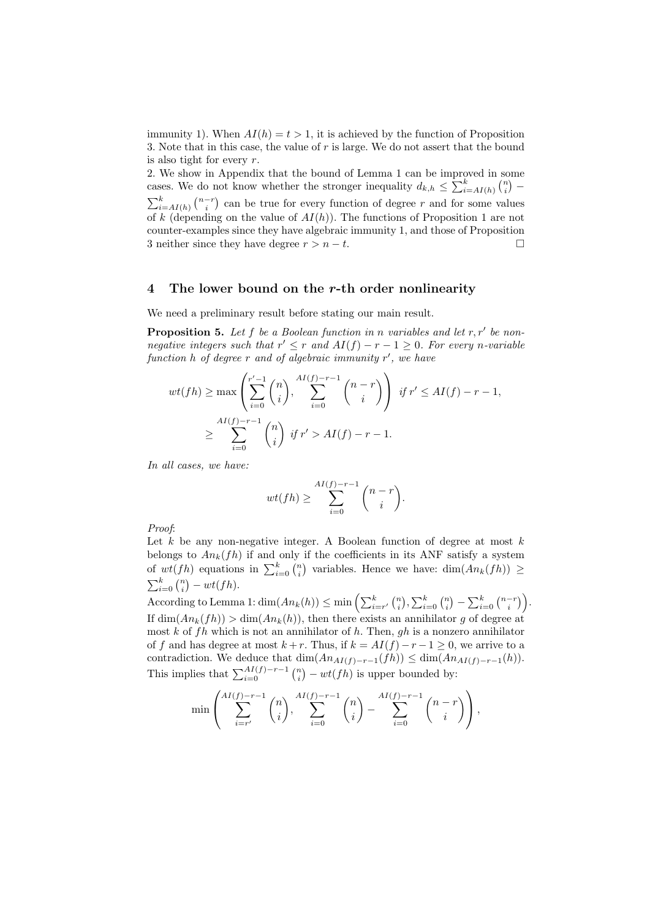immunity 1). When  $AI(h) = t > 1$ , it is achieved by the function of Proposition 3. Note that in this case, the value of r is large. We do not assert that the bound is also tight for every  $r$ .

2. We show in Appendix that the bound of Lemma 1 can be improved in some cases. We do not know whether the stronger inequality  $d_{k,h} \leq \sum_{i=A I(h)}^{k} {n \choose i}$  $\sum_{i=AI(h)}^{k} \binom{n-r}{i}$  can be true for every function of degree r and for some values of k (depending on the value of  $AI(h)$ ). The functions of Proposition 1 are not counter-examples since they have algebraic immunity 1, and those of Proposition 3 neither since they have degree  $r > n - t$ .

## 4 The lower bound on the r-th order nonlinearity

We need a preliminary result before stating our main result.

**Proposition 5.** Let  $f$  be a Boolean function in n variables and let  $r, r'$  be nonnegative integers such that  $r' \leq r$  and  $AI(f) - r - 1 \geq 0$ . For every n-variable function h of degree  $r$  and of algebraic immunity  $r'$ , we have

$$
wt(fh) \ge \max \left( \sum_{i=0}^{r'-1} \binom{n}{i}, \sum_{i=0}^{AI(f)-r-1} \binom{n-r}{i} \right) \text{ if } r' \le AI(f) - r - 1,
$$
  

$$
\ge \sum_{i=0}^{AI(f)-r-1} \binom{n}{i} \text{ if } r' > AI(f) - r - 1.
$$

In all cases, we have:

$$
wt(fh)\geq \sum_{i=0}^{AI(f)-r-1}\binom{n-r}{i}.
$$

Proof:

Let  $k$  be any non-negative integer. A Boolean function of degree at most  $k$ belongs to  $An_k(fh)$  if and only if the coefficients in its ANF satisfy a system of  $wt(fh)$  equations in  $\sum_{i=0}^{k} \binom{n}{i}$  variables. Hence we have:  $\dim(An_k(fh)) \geq$  $\sum_{i=0}^{k} \binom{n}{i} - wt(fh).$ 

According to Lemma 1:  $\dim(An_k(h)) \le \min\left(\sum_{i=r'}^k {n \choose i}, \sum_{i=0}^k {n \choose i} - \sum_{i=0}^k {n-r \choose i}\right).$ If  $\dim(An_k(fh)) > \dim(An_k(h))$ , then there exists an annihilator g of degree at most k of fh which is not an annihilator of h. Then, gh is a nonzero annihilator of f and has degree at most  $k + r$ . Thus, if  $k = AI(f) - r - 1 \ge 0$ , we arrive to a contradiction. We deduce that  $\dim(An_{AI(f)-r-1}(fh)) \leq \dim(An_{AI(f)-r-1}(h)).$ This implies that  $\sum_{i=0}^{AI(f)-r-1} {n \choose i} - wt(fh)$  is upper bounded by:

$$
\min\left(\sum_{i=r'}^{AI(f)-r-1} \binom{n}{i}, \sum_{i=0}^{AI(f)-r-1} \binom{n}{i} - \sum_{i=0}^{AI(f)-r-1} \binom{n-r}{i}\right),\right)
$$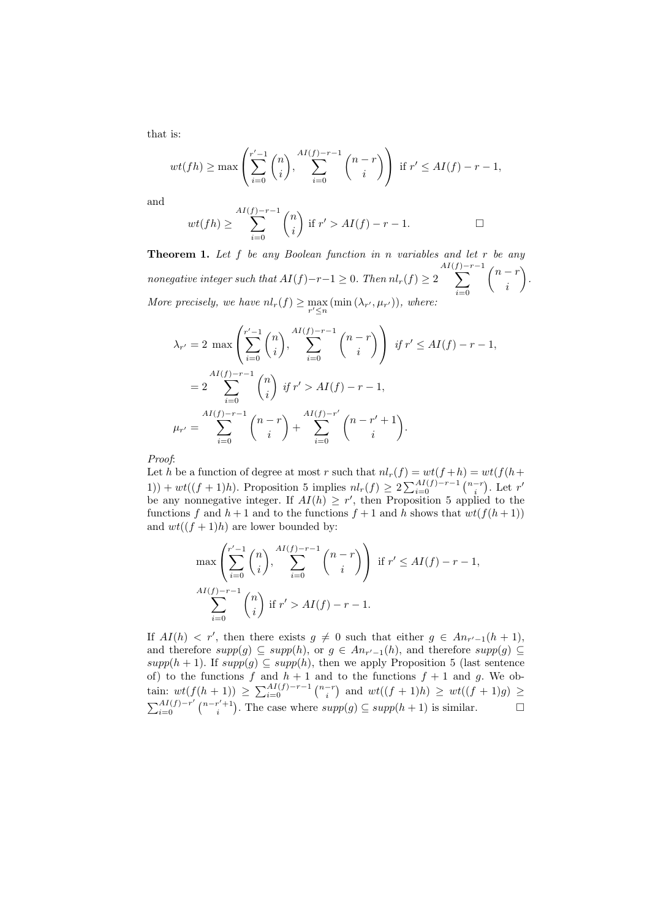that is:

$$
wt(fh) \ge \max\left(\sum_{i=0}^{r'-1} \binom{n}{i}, \sum_{i=0}^{AI(f)-r-1} \binom{n-r}{i}\right) \text{ if } r' \le AI(f) - r - 1,
$$

and

$$
wt(fh) \ge \sum_{i=0}^{AI(f)-r-1} \binom{n}{i} \text{ if } r' > AI(f) - r - 1.
$$

**Theorem 1.** Let  $f$  be any Boolean function in n variables and let  $r$  be any nonegative integer such that  $AI(f)-r-1 \geq 0$ . Then  $nl_r(f) \geq 2$  $AI(f)$  $\sum$  $)-r-1$  $i=0$  $\sqrt{n-r}$ i <u>)</u>. More precisely, we have  $nl_r(f) \ge \max_{r' \le n} (\min(\lambda_{r'}, \mu_{r'}))$ , where:

$$
\lambda_{r'} = 2 \max \left( \sum_{i=0}^{r'-1} {n \choose i}, \sum_{i=0}^{AI(f)-r-1} {n-r \choose i} \right) \text{ if } r' \le AI(f) - r - 1,
$$
  
= 
$$
2 \sum_{i=0}^{AI(f)-r-1} {n \choose i} \text{ if } r' > AI(f) - r - 1,
$$
  

$$
\mu_{r'} = \sum_{i=0}^{AI(f)-r-1} {n-r \choose i} + \sum_{i=0}^{AI(f)-r'} {n-r'+1 \choose i}.
$$

Proof:

Let h be a function of degree at most r such that  $nl_r(f) = wt(f+h) = wt(f(h+h))$ 1)) +  $wt((f + 1)h)$ . Proposition 5 implies  $nl_r(f) \geq 2\sum_{i=0}^{AI(f)-r-1} \binom{n-r}{i}$ . Let r' be any nonnegative integer. If  $AI(h) \geq r'$ , then Proposition 5 applied to the functions f and  $h + 1$  and to the functions  $f + 1$  and h shows that  $wt(f(h + 1))$ and  $wt((f+1)h)$  are lower bounded by:

$$
\max\left(\sum_{i=0}^{r'-1} \binom{n}{i}, \sum_{i=0}^{AI(f)-r-1} \binom{n-r}{i}\right) \text{ if } r' \le AI(f) - r - 1,
$$
  

$$
\sum_{i=0}^{AI(f)-r-1} \binom{n}{i} \text{ if } r' > AI(f) - r - 1.
$$

If  $AI(h) < r'$ , then there exists  $g \neq 0$  such that either  $g \in An_{r'-1}(h+1)$ , and therefore  $supp(g) \subseteq supp(h)$ , or  $g \in An_{r'-1}(h)$ , and therefore  $supp(g) \subseteq$  $supp(h + 1)$ . If  $supp(g) \subseteq supp(h)$ , then we apply Proposition 5 (last sentence of) to the functions f and  $h + 1$  and to the functions  $f + 1$  and g. We obtain:  $wt(f(h + 1)) \ge \sum_{i=0}^{AI(f)-r-1} {n-r \choose i}$  and  $wt((f + 1)h) \ge wt((f + 1)g) \ge$  $\sum_{i=0}^{AI(f)-r'} \binom{n-r'+1}{i}$ . The case where  $supp(g) \subseteq supp(h+1)$  is similar. □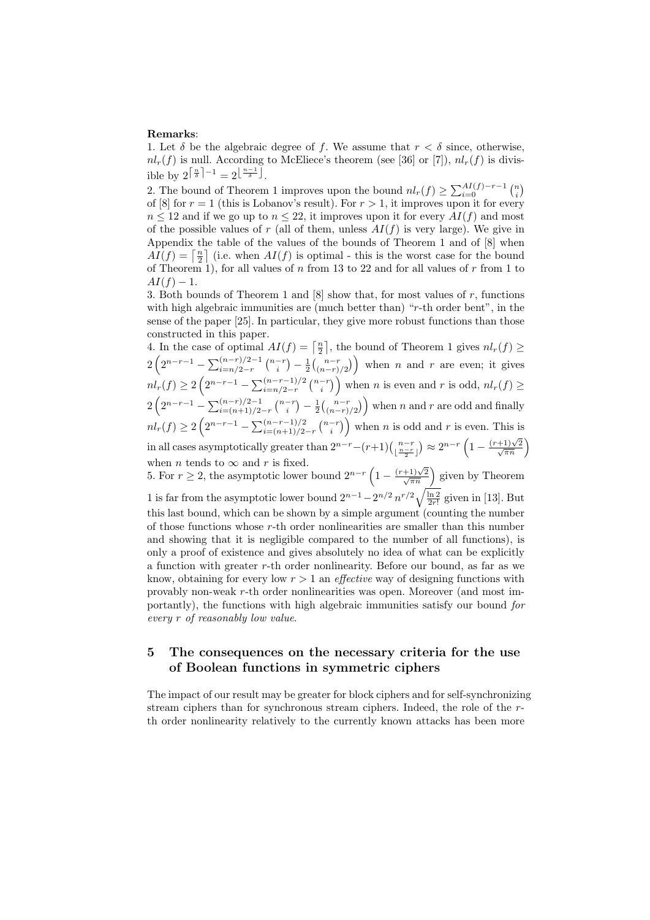#### Remarks:

1. Let  $\delta$  be the algebraic degree of f. We assume that  $r < \delta$  since, otherwise,  $nl_r(f)$  is null. According to McEliece's theorem (see [36] or [7]),  $nl_r(f)$  is divisible by  $2^{\left\lceil \frac{n}{\delta} \right\rceil - 1} = 2^{\left\lfloor \frac{n-1}{\delta} \right\rfloor}$ .

2. The bound of Theorem 1 improves upon the bound  $nl_r(f) \geq \sum_{i=0}^{AI(f)-r-1} \binom{n}{i}$ of [8] for  $r = 1$  (this is Lobanov's result). For  $r > 1$ , it improves upon it for every  $n \leq 12$  and if we go up to  $n \leq 22$ , it improves upon it for every  $AI(f)$  and most of the possible values of r (all of them, unless  $AI(f)$  is very large). We give in Appendix the table of the values of the bounds of Theorem 1 and of [8] when  $AI(f) = \left\lceil \frac{n}{2} \right\rceil$  (i.e. when  $AI(f)$  is optimal - this is the worst case for the bound of Theorem 1), for all values of  $n$  from 13 to 22 and for all values of  $r$  from 1 to  $AI(f) - 1.$ 

3. Both bounds of Theorem 1 and  $[8]$  show that, for most values of r, functions with high algebraic immunities are (much better than) " $r$ -th order bent", in the sense of the paper [25]. In particular, they give more robust functions than those constructed in this paper.

4. In the case of optimal  $AI(f) = \lceil \frac{n}{2} \rceil$ , the bound of Theorem 1 gives  $nl_r(f) \geq$  $2\left(2^{n-r-1}-\sum_{i=n/2-r}^{(n-r)/2-1} {n-r \choose i} -\frac{1}{2} {n-r \choose (n-r)/2} \right)$  when n and r are even; it gives  $nl_r(f) \geq 2\left(2^{n-r-1} - \sum_{i=n/2-r}^{(n-r-1)/2} \binom{n-r}{i}\right)$  when n is even and r is odd,  $nl_r(f) \geq$  $2\left(2^{n-r-1}-\sum_{i=(n+1)/2-r}^{(n-r)/2-1} {\binom{n-r}{i}} - \frac{1}{2} {\binom{n-r}{(n-r)/2}} \right)$  when n and r are odd and finally  $nl_r(f) \geq 2\left(2^{n-r-1} - \sum_{i=(n+1)/2-r}^{(n-r-1)/2} {n-r \choose i}\right)$  when n is odd and r is even. This is in all cases asymptotically greater than  $2^{n-r} - (r+1) \left( \frac{n-r}{\lfloor \frac{n-r}{2} \rfloor} \right) \approx 2^{n-r} \left( 1 - \frac{(r+1)\sqrt{2}}{\sqrt{\pi n}} \right)$  $(r+1)\sqrt{ }$ when *n* tends to  $\infty$  and *r* is fixed. when *n* tends to  $\infty$  and *r* is fixed.<br>5. For  $r \geq 2$ , the asymptotic lower bound  $2^{n-r} \left(1 - \frac{(r+1)\sqrt{2}}{\sqrt{\pi n}}\right)$  given by Theorem 1 is far from the asymptotic lower bound  $2^{n-1} - 2^{n/2} n^{r/2} \sqrt{\frac{\ln 2}{2r!}}$  given in [13]. But this last bound, which can be shown by a simple argument (counting the number of those functions whose r-th order nonlinearities are smaller than this number and showing that it is negligible compared to the number of all functions), is only a proof of existence and gives absolutely no idea of what can be explicitly a function with greater  $r$ -th order nonlinearity. Before our bound, as far as we know, obtaining for every low  $r > 1$  an *effective* way of designing functions with provably non-weak r-th order nonlinearities was open. Moreover (and most importantly), the functions with high algebraic immunities satisfy our bound for

## 5 The consequences on the necessary criteria for the use of Boolean functions in symmetric ciphers

every r of reasonably low value.

The impact of our result may be greater for block ciphers and for self-synchronizing stream ciphers than for synchronous stream ciphers. Indeed, the role of the rth order nonlinearity relatively to the currently known attacks has been more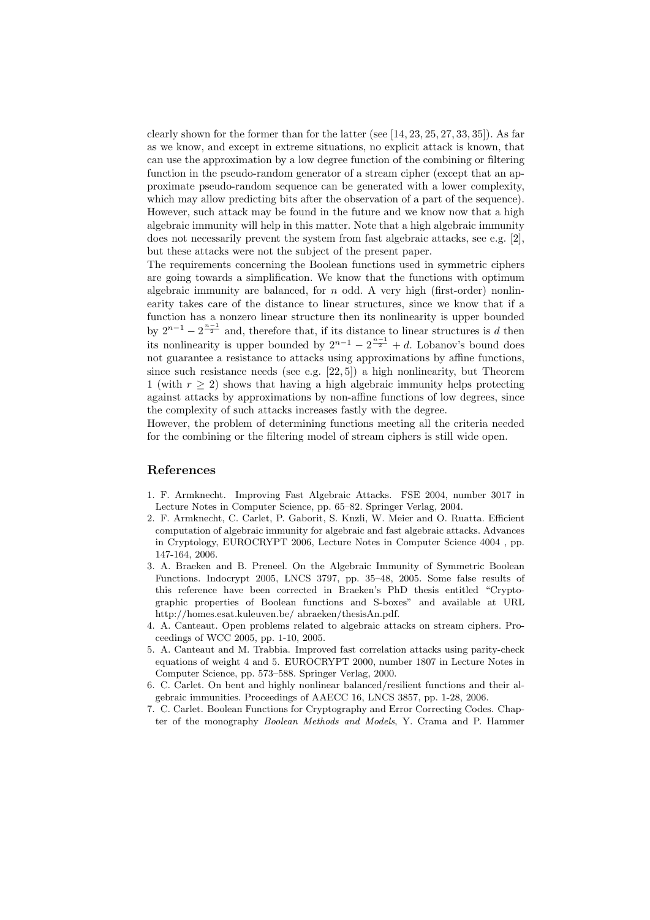clearly shown for the former than for the latter (see  $[14, 23, 25, 27, 33, 35]$ ). As far as we know, and except in extreme situations, no explicit attack is known, that can use the approximation by a low degree function of the combining or filtering function in the pseudo-random generator of a stream cipher (except that an approximate pseudo-random sequence can be generated with a lower complexity, which may allow predicting bits after the observation of a part of the sequence). However, such attack may be found in the future and we know now that a high algebraic immunity will help in this matter. Note that a high algebraic immunity does not necessarily prevent the system from fast algebraic attacks, see e.g. [2], but these attacks were not the subject of the present paper.

The requirements concerning the Boolean functions used in symmetric ciphers are going towards a simplification. We know that the functions with optimum algebraic immunity are balanced, for  $n$  odd. A very high (first-order) nonlinearity takes care of the distance to linear structures, since we know that if a function has a nonzero linear structure then its nonlinearity is upper bounded by  $2^{n-1} - 2^{\frac{n-1}{2}}$  and, therefore that, if its distance to linear structures is d then its nonlinearity is upper bounded by  $2^{n-1} - 2^{\frac{n-1}{2}} + d$ . Lobanov's bound does not guarantee a resistance to attacks using approximations by affine functions, since such resistance needs (see e.g. [22, 5]) a high nonlinearity, but Theorem 1 (with  $r \geq 2$ ) shows that having a high algebraic immunity helps protecting against attacks by approximations by non-affine functions of low degrees, since the complexity of such attacks increases fastly with the degree.

However, the problem of determining functions meeting all the criteria needed for the combining or the filtering model of stream ciphers is still wide open.

## References

- 1. F. Armknecht. Improving Fast Algebraic Attacks. FSE 2004, number 3017 in Lecture Notes in Computer Science, pp. 65–82. Springer Verlag, 2004.
- 2. F. Armknecht, C. Carlet, P. Gaborit, S. Knzli, W. Meier and O. Ruatta. Efficient computation of algebraic immunity for algebraic and fast algebraic attacks. Advances in Cryptology, EUROCRYPT 2006, Lecture Notes in Computer Science 4004 , pp. 147-164, 2006.
- 3. A. Braeken and B. Preneel. On the Algebraic Immunity of Symmetric Boolean Functions. Indocrypt 2005, LNCS 3797, pp. 35–48, 2005. Some false results of this reference have been corrected in Braeken's PhD thesis entitled "Cryptographic properties of Boolean functions and S-boxes" and available at URL http://homes.esat.kuleuven.be/ abraeken/thesisAn.pdf.
- 4. A. Canteaut. Open problems related to algebraic attacks on stream ciphers. Proceedings of WCC 2005, pp. 1-10, 2005.
- 5. A. Canteaut and M. Trabbia. Improved fast correlation attacks using parity-check equations of weight 4 and 5. EUROCRYPT 2000, number 1807 in Lecture Notes in Computer Science, pp. 573–588. Springer Verlag, 2000.
- 6. C. Carlet. On bent and highly nonlinear balanced/resilient functions and their algebraic immunities. Proceedings of AAECC 16, LNCS 3857, pp. 1-28, 2006.
- 7. C. Carlet. Boolean Functions for Cryptography and Error Correcting Codes. Chapter of the monography Boolean Methods and Models, Y. Crama and P. Hammer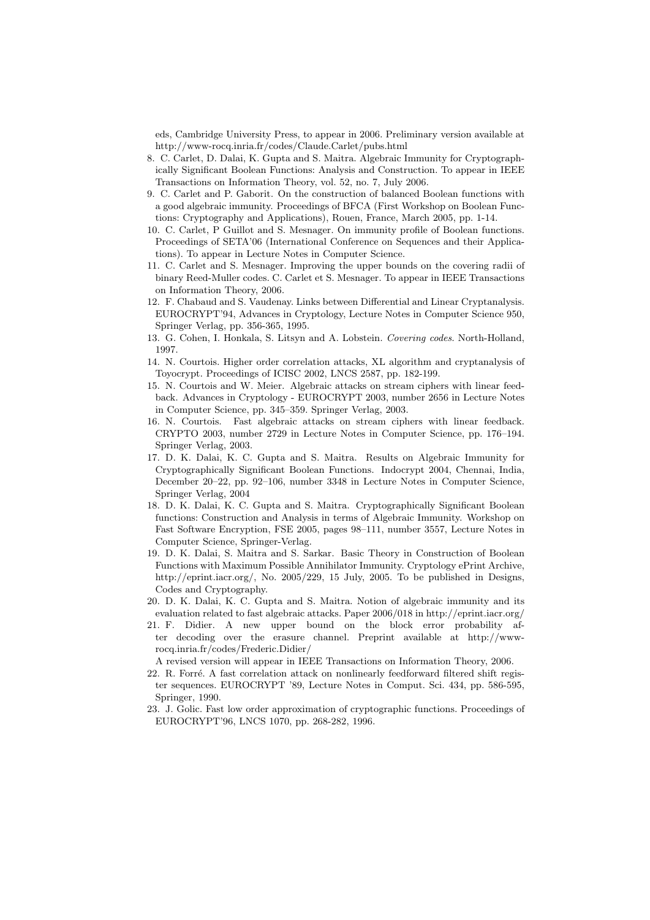eds, Cambridge University Press, to appear in 2006. Preliminary version available at http://www-rocq.inria.fr/codes/Claude.Carlet/pubs.html

- 8. C. Carlet, D. Dalai, K. Gupta and S. Maitra. Algebraic Immunity for Cryptographically Significant Boolean Functions: Analysis and Construction. To appear in IEEE Transactions on Information Theory, vol. 52, no. 7, July 2006.
- 9. C. Carlet and P. Gaborit. On the construction of balanced Boolean functions with a good algebraic immunity. Proceedings of BFCA (First Workshop on Boolean Functions: Cryptography and Applications), Rouen, France, March 2005, pp. 1-14.
- 10. C. Carlet, P Guillot and S. Mesnager. On immunity profile of Boolean functions. Proceedings of SETA'06 (International Conference on Sequences and their Applications). To appear in Lecture Notes in Computer Science.
- 11. C. Carlet and S. Mesnager. Improving the upper bounds on the covering radii of binary Reed-Muller codes. C. Carlet et S. Mesnager. To appear in IEEE Transactions on Information Theory, 2006.
- 12. F. Chabaud and S. Vaudenay. Links between Differential and Linear Cryptanalysis. EUROCRYPT'94, Advances in Cryptology, Lecture Notes in Computer Science 950, Springer Verlag, pp. 356-365, 1995.
- 13. G. Cohen, I. Honkala, S. Litsyn and A. Lobstein. Covering codes. North-Holland, 1997.
- 14. N. Courtois. Higher order correlation attacks, XL algorithm and cryptanalysis of Toyocrypt. Proceedings of ICISC 2002, LNCS 2587, pp. 182-199.
- 15. N. Courtois and W. Meier. Algebraic attacks on stream ciphers with linear feedback. Advances in Cryptology - EUROCRYPT 2003, number 2656 in Lecture Notes in Computer Science, pp. 345–359. Springer Verlag, 2003.
- 16. N. Courtois. Fast algebraic attacks on stream ciphers with linear feedback. CRYPTO 2003, number 2729 in Lecture Notes in Computer Science, pp. 176–194. Springer Verlag, 2003.
- 17. D. K. Dalai, K. C. Gupta and S. Maitra. Results on Algebraic Immunity for Cryptographically Significant Boolean Functions. Indocrypt 2004, Chennai, India, December 20–22, pp. 92–106, number 3348 in Lecture Notes in Computer Science, Springer Verlag, 2004
- 18. D. K. Dalai, K. C. Gupta and S. Maitra. Cryptographically Significant Boolean functions: Construction and Analysis in terms of Algebraic Immunity. Workshop on Fast Software Encryption, FSE 2005, pages 98–111, number 3557, Lecture Notes in Computer Science, Springer-Verlag.
- 19. D. K. Dalai, S. Maitra and S. Sarkar. Basic Theory in Construction of Boolean Functions with Maximum Possible Annihilator Immunity. Cryptology ePrint Archive, http://eprint.iacr.org/, No. 2005/229, 15 July, 2005. To be published in Designs, Codes and Cryptography.
- 20. D. K. Dalai, K. C. Gupta and S. Maitra. Notion of algebraic immunity and its evaluation related to fast algebraic attacks. Paper 2006/018 in http://eprint.iacr.org/
- 21. F. Didier. A new upper bound on the block error probability after decoding over the erasure channel. Preprint available at http://wwwrocq.inria.fr/codes/Frederic.Didier/

A revised version will appear in IEEE Transactions on Information Theory, 2006.

- 22. R. Forré. A fast correlation attack on nonlinearly feedforward filtered shift register sequences. EUROCRYPT '89, Lecture Notes in Comput. Sci. 434, pp. 586-595, Springer, 1990.
- 23. J. Golic. Fast low order approximation of cryptographic functions. Proceedings of EUROCRYPT'96, LNCS 1070, pp. 268-282, 1996.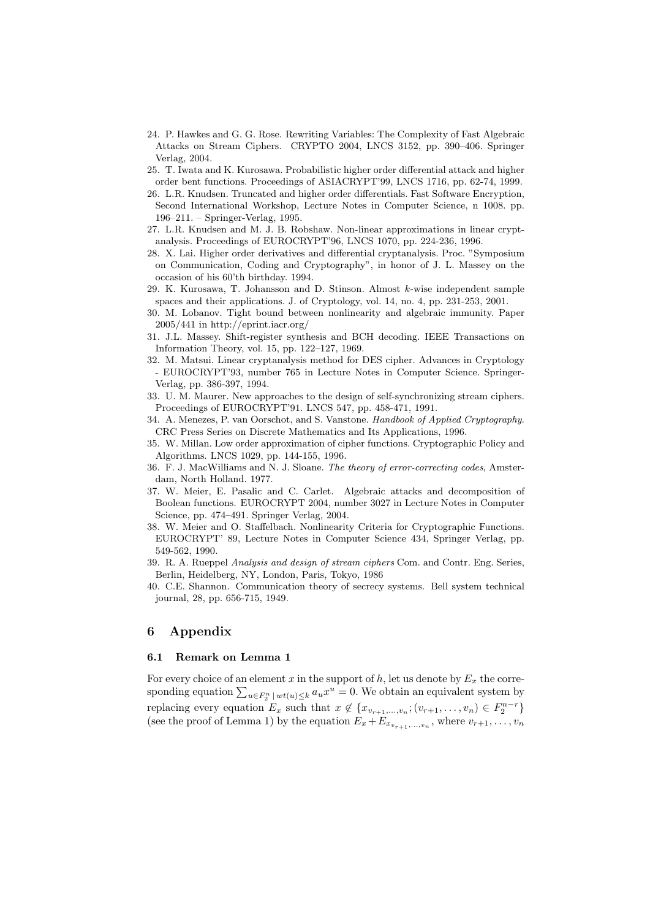- 24. P. Hawkes and G. G. Rose. Rewriting Variables: The Complexity of Fast Algebraic Attacks on Stream Ciphers. CRYPTO 2004, LNCS 3152, pp. 390–406. Springer Verlag, 2004.
- 25. T. Iwata and K. Kurosawa. Probabilistic higher order differential attack and higher order bent functions. Proceedings of ASIACRYPT'99, LNCS 1716, pp. 62-74, 1999.
- 26. L.R. Knudsen. Truncated and higher order differentials. Fast Software Encryption, Second International Workshop, Lecture Notes in Computer Science, n 1008. pp. 196–211. – Springer-Verlag, 1995.
- 27. L.R. Knudsen and M. J. B. Robshaw. Non-linear approximations in linear cryptanalysis. Proceedings of EUROCRYPT'96, LNCS 1070, pp. 224-236, 1996.
- 28. X. Lai. Higher order derivatives and differential cryptanalysis. Proc. "Symposium on Communication, Coding and Cryptography", in honor of J. L. Massey on the occasion of his 60'th birthday. 1994.
- 29. K. Kurosawa, T. Johansson and D. Stinson. Almost k-wise independent sample spaces and their applications. J. of Cryptology, vol. 14, no. 4, pp. 231-253, 2001.
- 30. M. Lobanov. Tight bound between nonlinearity and algebraic immunity. Paper 2005/441 in http://eprint.iacr.org/
- 31. J.L. Massey. Shift-register synthesis and BCH decoding. IEEE Transactions on Information Theory, vol. 15, pp. 122–127, 1969.
- 32. M. Matsui. Linear cryptanalysis method for DES cipher. Advances in Cryptology - EUROCRYPT'93, number 765 in Lecture Notes in Computer Science. Springer-Verlag, pp. 386-397, 1994.
- 33. U. M. Maurer. New approaches to the design of self-synchronizing stream ciphers. Proceedings of EUROCRYPT'91. LNCS 547, pp. 458-471, 1991.
- 34. A. Menezes, P. van Oorschot, and S. Vanstone. Handbook of Applied Cryptography. CRC Press Series on Discrete Mathematics and Its Applications, 1996.
- 35. W. Millan. Low order approximation of cipher functions. Cryptographic Policy and Algorithms. LNCS 1029, pp. 144-155, 1996.
- 36. F. J. MacWilliams and N. J. Sloane. The theory of error-correcting codes, Amsterdam, North Holland. 1977.
- 37. W. Meier, E. Pasalic and C. Carlet. Algebraic attacks and decomposition of Boolean functions. EUROCRYPT 2004, number 3027 in Lecture Notes in Computer Science, pp. 474–491. Springer Verlag, 2004.
- 38. W. Meier and O. Staffelbach. Nonlinearity Criteria for Cryptographic Functions. EUROCRYPT' 89, Lecture Notes in Computer Science 434, Springer Verlag, pp. 549-562, 1990.
- 39. R. A. Rueppel Analysis and design of stream ciphers Com. and Contr. Eng. Series, Berlin, Heidelberg, NY, London, Paris, Tokyo, 1986
- 40. C.E. Shannon. Communication theory of secrecy systems. Bell system technical journal, 28, pp. 656-715, 1949.

## 6 Appendix

#### 6.1 Remark on Lemma 1

For every choice of an element x in the support of  $h$ , let us denote by  $E_x$  the corresponding equation  $\sum_{u \in F_2^n \, | \, wt(u) \leq k} a_u x^u = 0$ . We obtain an equivalent system by replacing every equation  $E_x$  such that  $x \notin \{x_{v_{r+1},...,v_n}; (v_{r+1},...,v_n) \in F_2^{n-r}\}\$ (see the proof of Lemma 1) by the equation  $E_x + E_{x_{v_{r+1},...,v_n}}$ , where  $v_{r+1},...,v_n$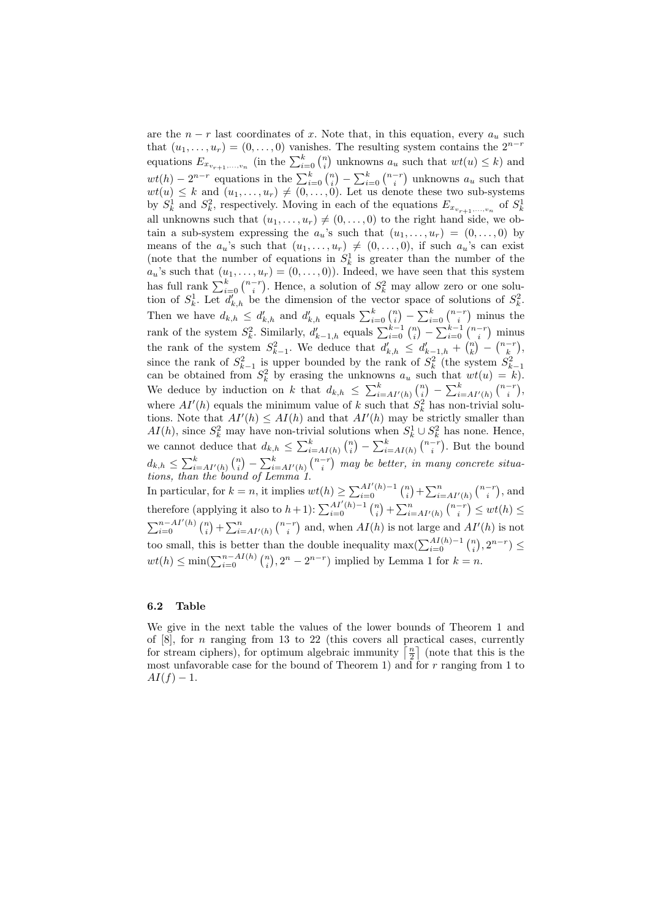are the  $n - r$  last coordinates of x. Note that, in this equation, every  $a_u$  such that  $(u_1, \ldots, u_r) = (0, \ldots, 0)$  vanishes. The resulting system contains the  $2^{n-r}$ equations  $E_{x_{v_{r+1},...,v_n}}$  (in the  $\sum_{i=0}^{k} {n \choose i}$  unknowns  $a_u$  such that  $wt(u) \leq k$ ) and  $wt(h) - 2^{n-r}$  equations in the  $\sum_{i=0}^{k} {n \choose i} - \sum_{i=0}^{k} {n-r \choose i}$  unknowns  $a_u$  such that  $wt(u) \leq k$  and  $(u_1, \ldots, u_r) \neq (0, \ldots, 0)$ . Let us denote these two sub-systems<br>by  $S^1$  and  $S^2$  respectively. Moving in each of the equations  $F$  of  $S^1$ by  $S_k^1$  and  $S_k^2$ , respectively. Moving in each of the equations  $E_{x_{v_{r+1},...,v_n}}$  of  $S_k^1$ all unknowns such that  $(u_1, \ldots, u_r) \neq (0, \ldots, 0)$  to the right hand side, we obtain a sub-system expressing the  $a_u$ 's such that  $(u_1, \ldots, u_r) = (0, \ldots, 0)$  by means of the  $a_u$ 's such that  $(u_1, \ldots, u_r) \neq (0, \ldots, 0)$ , if such  $a_u$ 's can exist (note that the number of equations in  $S_k^1$  is greater than the number of the  $a_u$ 's such that  $(u_1, \ldots, u_r) = (0, \ldots, 0)$ . Indeed, we have seen that this system has full rank  $\sum_{i=0}^{k} \binom{n-r}{i}$ . Hence, a solution of  $S_k^2$  may allow zero or one solution of  $S_k^1$ . Let  $d'_{k,h}$  be the dimension of the vector space of solutions of  $S_k^2$ . Then we have  $d_{k,h} \leq d'_{k,h}$  and  $d'_{k,h}$  equals  $\sum_{i=0}^{k} {n \choose i} - \sum_{i=0}^{k} {n-r \choose i}$  minus the rank of the system  $S_k^2$ . Similarly,  $d'_{k-1,h}$  equals  $\sum_{i=0}^{k-1} \binom{n}{i} - \sum_{i=0}^{k-1} \binom{n-r}{i}$  minus the rank of the system  $S_{k-1}^2$ . We deduce that  $d'_{k,h} \leq d'_{k-1,h} + \binom{n}{k} - \binom{n-r}{k}$ , since the rank of  $S_{k-1}^2$  is upper bounded by the rank of  $S_k^2$  (the system  $S_{k-1}^2$  can be obtained from  $S_k^2$  by erasing the unknowns  $a_u$  such that  $wt(u) = k$ ). We deduce by induction on k that  $d_{k,h} \leq \sum_{i=A I'(h)}^k {n \choose i} - \sum_{i=A I'(h)}^k {n-r \choose i}$ , where  $AI'(h)$  equals the minimum value of k such that  $S_k^2$  has non-trivial solutions. Note that  $AI'(h) \leq AI(h)$  and that  $AI'(h)$  may be strictly smaller than  $AI(h)$ , since  $S_k^2$  may have non-trivial solutions when  $S_k^1 \cup S_k^2$  has none. Hence, we cannot deduce that  $d_{k,h} \leq \sum_{i=A I(h)}^k {n \choose i} - \sum_{i=A I(h)}^k {n-r \choose i}$ . But the bound  $d_{k,h} \leq \sum_{i=AI'(h)}^{k} {n \choose i} - \sum_{i=AI'(h)}^{k} {n-r \choose i}$  may be better, in many concrete situations, than the bound of Lemma 1. In particular, for  $k = n$ , it implies  $wt(h) \geq \sum_{i=0}^{AI'(h)-1} {n \choose i} + \sum_{i=AI'(h)}^{n} {n-r \choose i}$ , and therefore (applying it also to  $h+1$ ):  $\sum_{i=0}^{AI'(h)-1} {n \choose i} + \sum_{i=AI'(h)}^{n} {n-r \choose i} \le wt(h) \le$  $\sum_{i=0}^{n-A} I'(h) \binom{n}{i} + \sum_{i=A}^{n} I'(h) \binom{n-r}{i}$  and, when  $AI(h)$  is not large and  $AI'(h)$  is not too small, this is better than the double inequality  $\max(\sum_{i=0}^{AI(h)-1} {n \choose i}, 2^{n-r}) \le$  $wt(h) \le \min(\sum_{i=0}^{n-AI(h)} {n \choose i}, 2^n - 2^{n-r})$  implied by Lemma 1 for  $k = n$ .

#### 6.2 Table

We give in the next table the values of the lower bounds of Theorem 1 and of  $[8]$ , for *n* ranging from 13 to 22 (this covers all practical cases, currently for stream ciphers), for optimum algebraic immunity  $\lceil \frac{n}{2} \rceil$  (note that this is the most unfavorable case for the bound of Theorem 1) and for  $r$  ranging from 1 to  $AI(f) - 1.$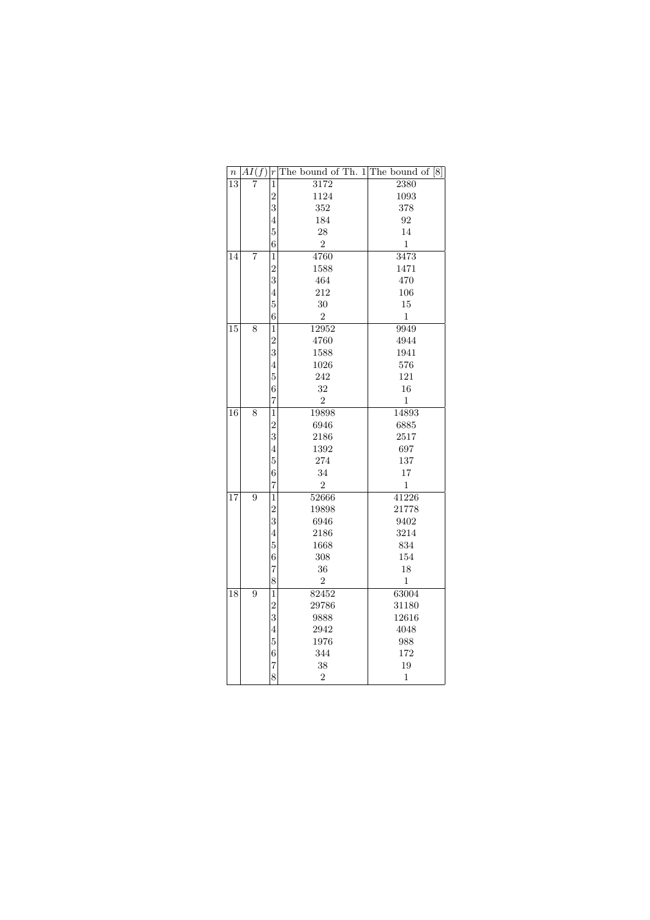| $\, n$          | $A\overline{I(f)}$ | $\boldsymbol{r}$ | The bound of Th. $1$ The bound of $[8]$ |              |
|-----------------|--------------------|------------------|-----------------------------------------|--------------|
| 13              | 7                  | 1                | 3172                                    | 2380         |
|                 |                    | $\overline{2}$   | 1124                                    | 1093         |
|                 |                    | 3                | $352\,$                                 | 378          |
|                 |                    | $\overline{4}$   | 184                                     | 92           |
|                 |                    | $\overline{5}$   | 28                                      | 14           |
|                 |                    | 6                | $\sqrt{2}$                              | $\mathbf{1}$ |
| 14              | 7                  | 1                | 4760                                    | 3473         |
|                 |                    | $\overline{2}$   | 1588                                    | 1471         |
|                 |                    | 3                | 464                                     | 470          |
|                 |                    | 4                | 212                                     | 106          |
|                 |                    | $\overline{5}$   | 30                                      | $15\,$       |
|                 |                    | 6                | $\overline{2}$                          | $\mathbf{1}$ |
| 15              | 8                  | $\mathbf{1}$     | 12952                                   | 9949         |
|                 |                    | $\overline{2}$   | 4760                                    | 4944         |
|                 |                    | 3                | 1588                                    | 1941         |
|                 |                    | $\overline{4}$   | 1026                                    | 576          |
|                 |                    | $\overline{5}$   | 242                                     | 121          |
|                 |                    | 6                | 32                                      | 16           |
|                 |                    | $\overline{7}$   | $\,2$                                   | $\mathbf{1}$ |
| 16              | 8                  | 1                | 19898                                   | 14893        |
|                 |                    | $\overline{2}$   | 6946                                    | 6885         |
|                 |                    | 3                | 2186                                    | 2517         |
|                 |                    | $\overline{4}$   | 1392                                    | 697          |
|                 |                    | $\overline{5}$   | 274                                     | 137          |
|                 |                    | 6                | 34                                      | 17           |
|                 |                    | $\overline{7}$   | $\overline{2}$                          | $\mathbf{1}$ |
| $\overline{17}$ | $\overline{9}$     | $\mathbf{1}$     | 52666                                   | 41226        |
|                 |                    | $\overline{2}$   | 19898                                   | 21778        |
|                 |                    | 3                | 6946                                    | 9402         |
|                 |                    | $\overline{4}$   | 2186                                    | 3214         |
|                 |                    | $\overline{5}$   | 1668                                    | 834          |
|                 |                    | 6                | 308                                     | 154          |
|                 |                    | $\overline{7}$   | 36                                      | 18           |
|                 |                    | 8                | $\boldsymbol{2}$                        | $\mathbf{1}$ |
| $\overline{18}$ | $\overline{9}$     | $\mathbf{1}$     | 82452                                   | 63004        |
|                 |                    | $\overline{2}$   | 29786                                   | 31180        |
|                 |                    | 3                | 9888                                    | 12616        |
|                 |                    | $\overline{4}$   | 2942                                    | 4048         |
|                 |                    | $\overline{5}$   | 1976                                    | 988          |
|                 |                    | 6                | 344                                     | 172          |
|                 |                    | $\overline{7}$   | 38                                      | 19           |
|                 |                    | 8                | $\overline{2}$                          | $\mathbf{1}$ |